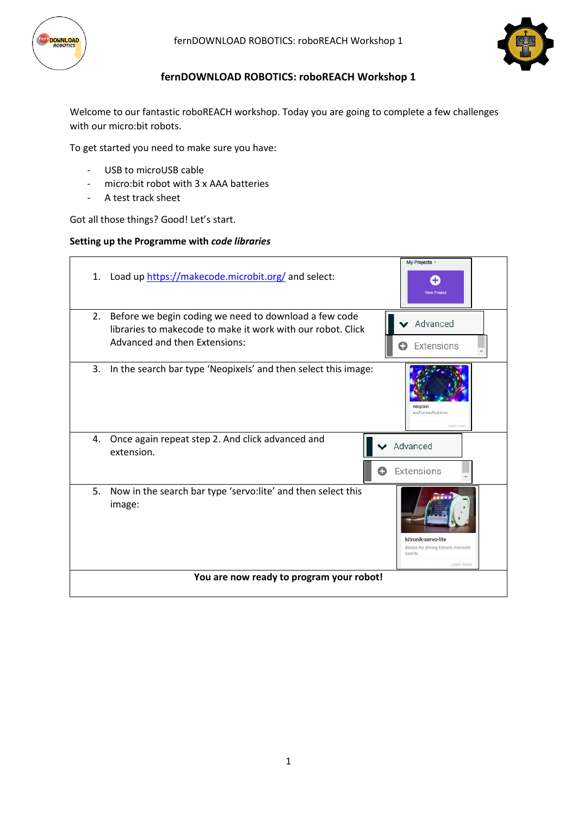



# **fernDOWNLOAD ROBOTICS: roboREACH Workshop 1**

Welcome to our fantastic roboREACH workshop. Today you are going to complete a few challenges with our micro:bit robots.

To get started you need to make sure you have:

- USB to microUSB cable
- micro:bit robot with 3 x AAA batteries
- A test track sheet

Got all those things? Good! Let's start.

#### **Setting up the Programme with** *code libraries*

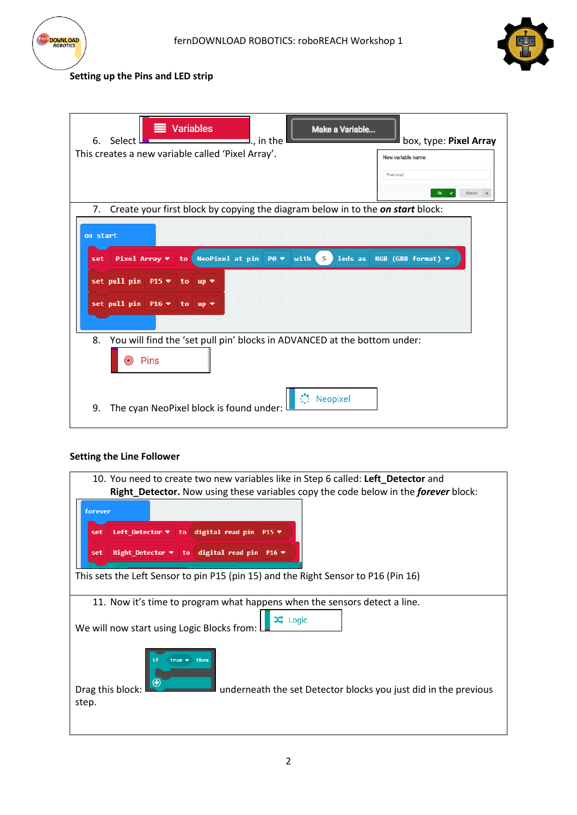



# **Setting up the Pins and LED strip**

| 6.       | Select L<br>This creates a new variable called 'Pixel Array'.                  |      |           | <b>Variables</b>                                                                                                                          | I in the |  |            | Make a Variable |  | New variable name: | box, type: Pixel Array                                              |          |  |
|----------|--------------------------------------------------------------------------------|------|-----------|-------------------------------------------------------------------------------------------------------------------------------------------|----------|--|------------|-----------------|--|--------------------|---------------------------------------------------------------------|----------|--|
|          |                                                                                |      |           |                                                                                                                                           |          |  |            |                 |  | Pixel Array        |                                                                     | Cancel x |  |
| 7.       | Create your first block by copying the diagram below in to the on start block: |      |           |                                                                                                                                           |          |  |            |                 |  |                    |                                                                     |          |  |
| on start |                                                                                |      |           |                                                                                                                                           |          |  |            |                 |  |                    |                                                                     |          |  |
| set      |                                                                                |      |           | <b>Pixel Array <math>\bullet</math> to NeoPixel at pin P0 <math>\bullet</math> with 5 ) leds as RGB (GRB format) <math>\bullet</math></b> |          |  |            |                 |  |                    |                                                                     |          |  |
|          | set pull pin P15 ▼ to up ▼                                                     |      |           |                                                                                                                                           |          |  |            |                 |  |                    | $+ + + + + + +$                                                     |          |  |
|          | set pull pin P16 ▼ to up ▼                                                     |      |           |                                                                                                                                           |          |  |            |                 |  |                    |                                                                     |          |  |
|          |                                                                                |      | $+ - + -$ |                                                                                                                                           |          |  |            |                 |  |                    | $+ \quad + \quad + \quad + \quad + \quad + \quad + \quad + \quad +$ |          |  |
| 8.       | You will find the 'set pull pin' blocks in ADVANCED at the bottom under:<br>Ю  | Pins |           |                                                                                                                                           |          |  |            |                 |  |                    |                                                                     |          |  |
| 9.       | The cyan NeoPixel block is found under:                                        |      |           |                                                                                                                                           |          |  | ∴ Neopixel |                 |  |                    |                                                                     |          |  |

#### **Setting the Line Follower**